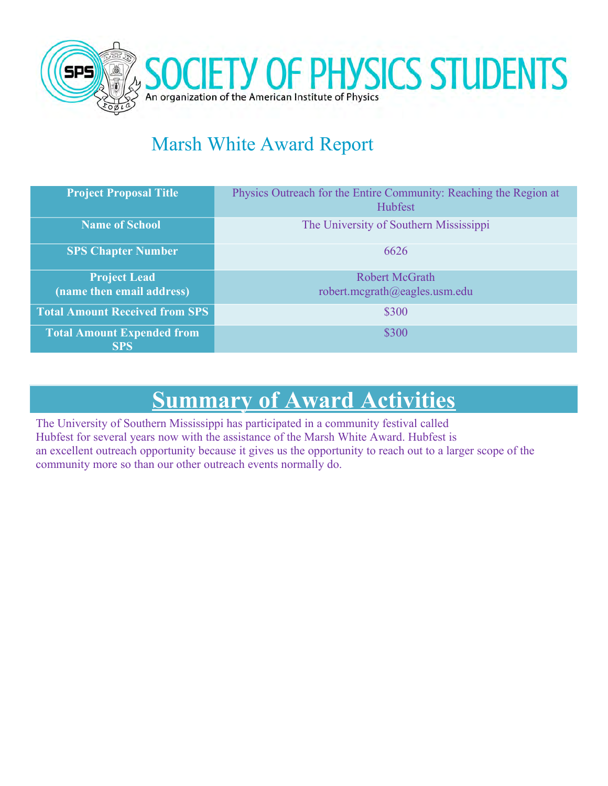

## Marsh White Award Report

| <b>Project Proposal Title</b>                    | Physics Outreach for the Entire Community: Reaching the Region at<br>Hubfest |
|--------------------------------------------------|------------------------------------------------------------------------------|
| <b>Name of School</b>                            | The University of Southern Mississippi                                       |
| <b>SPS Chapter Number</b>                        | 6626                                                                         |
| <b>Project Lead</b><br>(name then email address) | <b>Robert McGrath</b><br>robert.mcgrath@eagles.usm.edu                       |
| <b>Total Amount Received from SPS</b>            | \$300                                                                        |
| <b>Total Amount Expended from</b><br><b>SPS</b>  | \$300                                                                        |

# **Summary of Award Activities**

The University of Southern Mississippi has participated in a community festival called Hubfest for several years now with the assistance of the Marsh White Award. Hubfest is an excellent outreach opportunity because it gives us the opportunity to reach out to a larger scope of the community more so than our other outreach events normally do.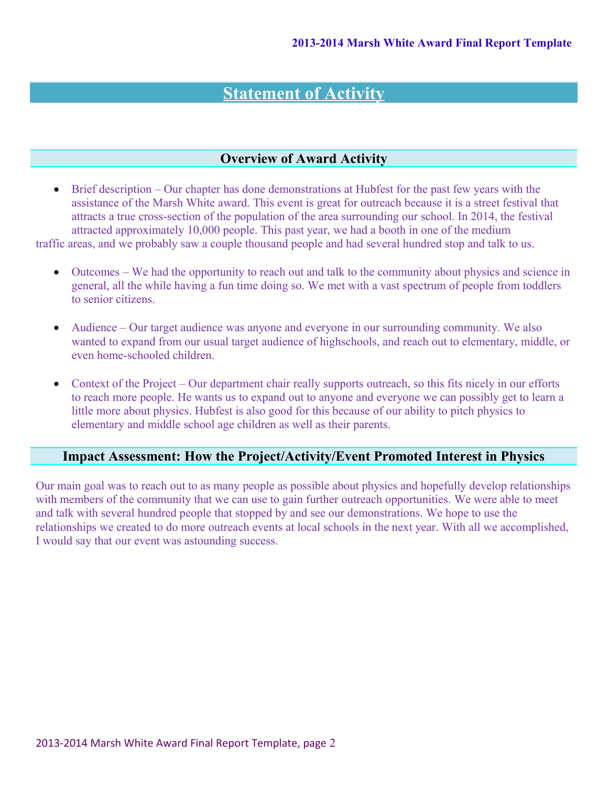## **Statement of Activity**

#### **Overview of Award Activity**

 Brief description – Our chapter has done demonstrations at Hubfest for the past few years with the assistance of the Marsh White award. This event is great for outreach because it is a street festival that attracts a true cross-section of the population of the area surrounding our school. In 2014, the festival attracted approximately 10,000 people. This past year, we had a booth in one of the medium

traffic areas, and we probably saw a couple thousand people and had several hundred stop and talk to us.

- Outcomes We had the opportunity to reach out and talk to the community about physics and science in general, all the while having a fun time doing so. We met with a vast spectrum of people from toddlers to senior citizens.
- Audience Our target audience was anyone and everyone in our surrounding community. We also wanted to expand from our usual target audience of highschools, and reach out to elementary, middle, or even home-schooled children.
- Context of the Project Our department chair really supports outreach, so this fits nicely in our efforts to reach more people. He wants us to expand out to anyone and everyone we can possibly get to learn a little more about physics. Hubfest is also good for this because of our ability to pitch physics to elementary and middle school age children as well as their parents.

### **Impact Assessment: How the Project/Activity/Event Promoted Interest in Physics**

Our main goal was to reach out to as many people as possible about physics and hopefully develop relationships with members of the community that we can use to gain further outreach opportunities. We were able to meet and talk with several hundred people that stopped by and see our demonstrations. We hope to use the relationships we created to do more outreach events at local schools in the next year. With all we accomplished, I would say that our event was astounding success.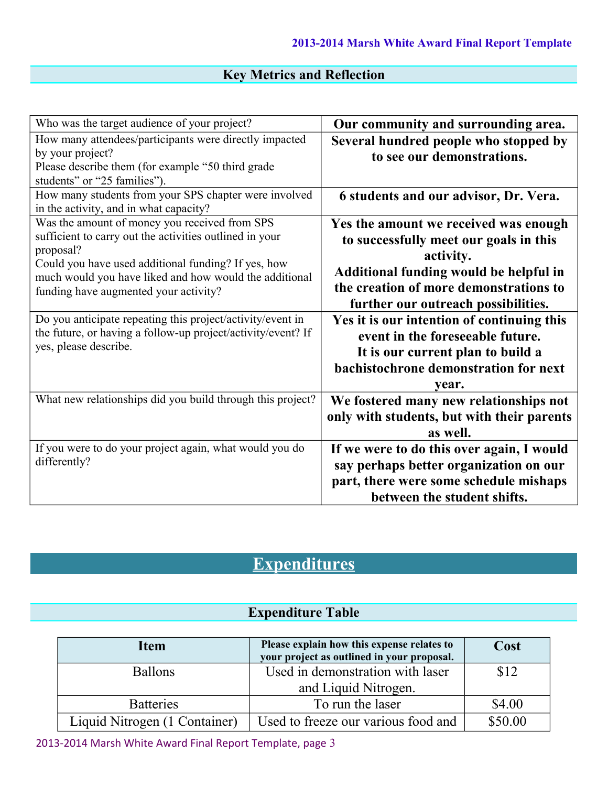### **Key Metrics and Reflection**

| Who was the target audience of your project?                                                                                                                                                                                                                                    | Our community and surrounding area.                                                                                                                                                                                     |
|---------------------------------------------------------------------------------------------------------------------------------------------------------------------------------------------------------------------------------------------------------------------------------|-------------------------------------------------------------------------------------------------------------------------------------------------------------------------------------------------------------------------|
| How many attendees/participants were directly impacted<br>by your project?<br>Please describe them (for example "50 third grade<br>students" or "25 families").                                                                                                                 | Several hundred people who stopped by<br>to see our demonstrations.                                                                                                                                                     |
| How many students from your SPS chapter were involved<br>in the activity, and in what capacity?                                                                                                                                                                                 | 6 students and our advisor, Dr. Vera.                                                                                                                                                                                   |
| Was the amount of money you received from SPS<br>sufficient to carry out the activities outlined in your<br>proposal?<br>Could you have used additional funding? If yes, how<br>much would you have liked and how would the additional<br>funding have augmented your activity? | Yes the amount we received was enough<br>to successfully meet our goals in this<br>activity.<br>Additional funding would be helpful in<br>the creation of more demonstrations to<br>further our outreach possibilities. |
| Do you anticipate repeating this project/activity/event in<br>the future, or having a follow-up project/activity/event? If<br>yes, please describe.                                                                                                                             | Yes it is our intention of continuing this<br>event in the foreseeable future.<br>It is our current plan to build a<br>bachistochrone demonstration for next<br>year.                                                   |
| What new relationships did you build through this project?                                                                                                                                                                                                                      | We fostered many new relationships not<br>only with students, but with their parents<br>as well.                                                                                                                        |
| If you were to do your project again, what would you do<br>differently?                                                                                                                                                                                                         | If we were to do this over again, I would<br>say perhaps better organization on our<br>part, there were some schedule mishaps<br>between the student shifts.                                                            |

## **Expenditures**

### **Expenditure Table**

| <b>Item</b>                   | Please explain how this expense relates to<br>your project as outlined in your proposal. | Cost    |
|-------------------------------|------------------------------------------------------------------------------------------|---------|
| <b>Ballons</b>                | Used in demonstration with laser                                                         | \$12    |
|                               | and Liquid Nitrogen.                                                                     |         |
| <b>Batteries</b>              | To run the laser                                                                         | \$4.00  |
| Liquid Nitrogen (1 Container) | Used to freeze our various food and                                                      | \$50.00 |

2013-2014 Marsh White Award Final Report Template, page 3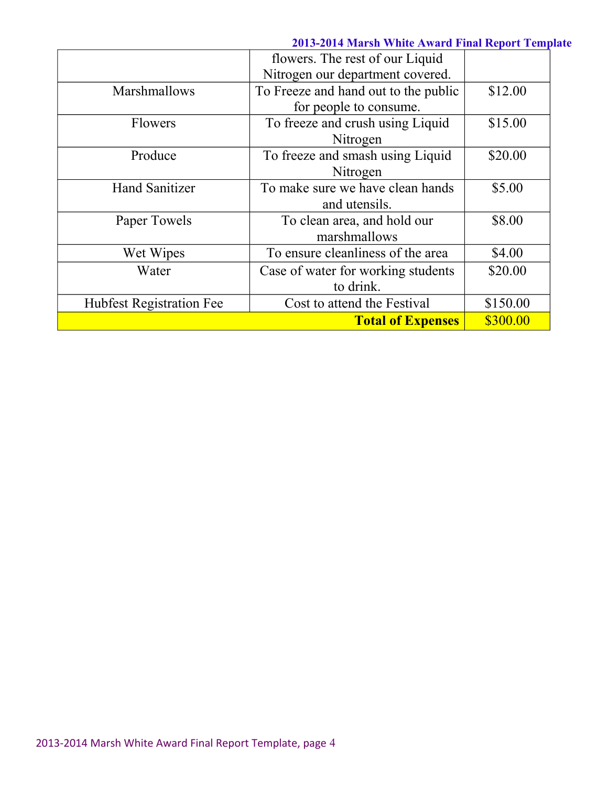### **2013-2014 Marsh White Award Final Report Template**

|                                 | flowers. The rest of our Liquid      |          |
|---------------------------------|--------------------------------------|----------|
|                                 | Nitrogen our department covered.     |          |
| Marshmallows                    | To Freeze and hand out to the public | \$12.00  |
|                                 | for people to consume.               |          |
| <b>Flowers</b>                  | To freeze and crush using Liquid     | \$15.00  |
|                                 | Nitrogen                             |          |
| Produce                         | To freeze and smash using Liquid     | \$20.00  |
|                                 | Nitrogen                             |          |
| <b>Hand Sanitizer</b>           | To make sure we have clean hands     | \$5.00   |
|                                 | and utensils.                        |          |
| Paper Towels                    | To clean area, and hold our          | \$8.00   |
|                                 | marshmallows                         |          |
| Wet Wipes                       | To ensure cleanliness of the area    | \$4.00   |
| Water                           | Case of water for working students   | \$20.00  |
|                                 | to drink.                            |          |
| <b>Hubfest Registration Fee</b> | Cost to attend the Festival          | \$150.00 |
|                                 | <b>Total of Expenses</b>             | \$300.00 |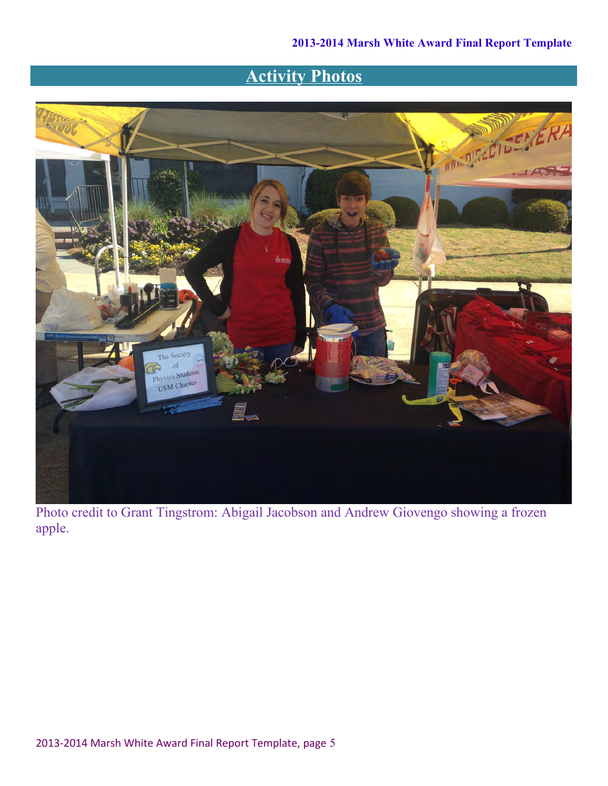## **Activity Photos**



Photo credit to Grant Tingstrom: Abigail Jacobson and Andrew Giovengo showing a frozen apple.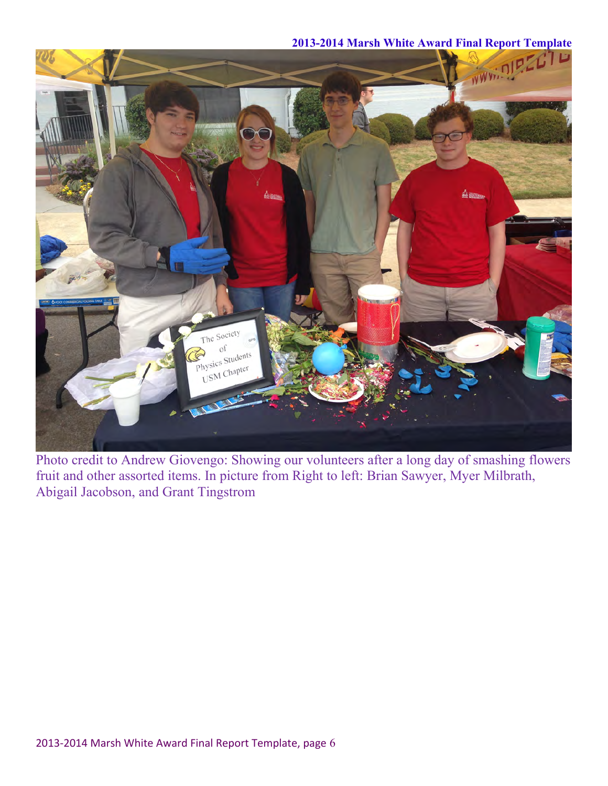### **2013-2014 Marsh White Award Final Report Template**



Photo credit to Andrew Giovengo: Showing our volunteers after a long day of smashing flowers fruit and other assorted items. In picture from Right to left: Brian Sawyer, Myer Milbrath, Abigail Jacobson, and Grant Tingstrom